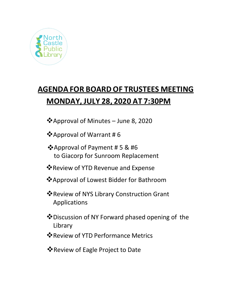

# **AGENDA FOR BOARD OF TRUSTEES MEETING MONDAY, JULY 28, 2020 AT 7:30PM**

Approval of Minutes – June 8, 2020

- Approval of Warrant # 6
- Approval of Payment # 5 & #6 to Giacorp for Sunroom Replacement
- Review of YTD Revenue and Expense
- Approval of Lowest Bidder for Bathroom
- **Example Video Service Video Service Video Service Video Service Video Service Video Service Service Service Service Service Service Service Service Service Service Service Service Service Service Service Service Service** Applications
- Discussion of NY Forward phased opening of the Library
- Review of YTD Performance Metrics
- Review of Eagle Project to Date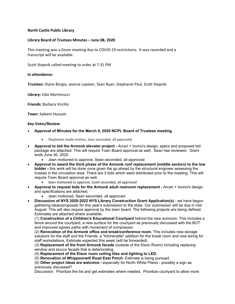## **North Castle Public Library**

## **Library Board of Trustees Minutes – June 08, 2020**

This meeting was a Zoom meeting due to COVID-19 restrictions. It was recorded and a transcript will be available.

Scott Stopnik called meeting to order at 7:31 PM

### **In attendance:**

**Trustees:** Diane Borgia, Jeanne Lapsker, Sean Ryan, Stephanie Paul, Scott Stopnik

**Library:** Edie Martimucci

**Friends:** Barbara Vircillo

**Town:** Saleem Hussain

### **Key Votes/Review**:

- **Approval of Minutes for the March 9, 2020 NCPL Board of Trustees meeting**
	- Stephanie made motion, Jean seconded, all approved.
- **Approval to bid the Armonk elevator project -** Arcari + Iovino's design, specs and proposed bid package are attached. This will require Town Board approval as well. Sean has reviewed. Grant ends June 30, 2022.
	- Jean motioned to approve, Sean seconded, all approved
- **Approval to award the third phase of the Armonk roof replacement (middle section) to the low bidder -** this work will be done once given the go ahead by the structural engineer assessing the trusses in the circulation area. There are 3 bids which were distributed prior to the meeting. This will require Town Board approval as well.
	- Sean motioned to approve, Scott seconded, all approved
- **Approval to request bids for the Armonk adult restroom replacement -** Arcari + Iovino's design and specifications are attached.
	- Jean motioned, Sean seconded, all approved
- **Discussion of NYS 2020-2022 NYS Library Construction Grant Application(s)**  we have begun gathering ideas/proposals for this year's submission to the state. Our submission will be due in mid August. This will also require approval by the town board. The following projects are being defined. Estimates are attached where available.

(1) **Construction of a Children's Educational Courtyard** behind the new sunroom. This includes a fence around the courtyard, a new surface for the courtyard as previously discussed with the BOT and improved egress paths with movement of compressor.

(2) **Renovation of the Armonk office and break/conference room.** This includes new storage solutions for the staff and the Friends, a "kitchenette" addition for the break room and new wiring for staff workstations, Estimate expected this week (will be forwarded).

(3) **Replacement of the front Armonk facade** (outside of the Elson Room) including replacing window and stucco facade that is deteriorating,

(4) **Replacement of the Elson room ceiling tiles and lighting to LED.**

(5) **Renovation of Whippoorwill Road East Porch.** Estimate is being pursued.

(6) **Other project ideas are welcome -** especially for North White Plains - possibly a sign as previously discussed?

Discussion: Prioritize the list and get estimates where needed. Prioritize courtyard to allow more